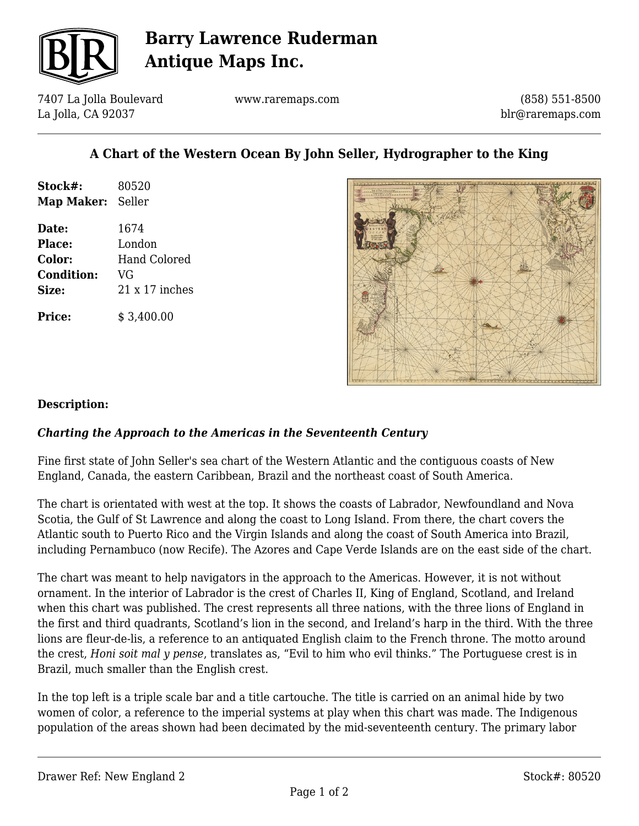

# **Barry Lawrence Ruderman Antique Maps Inc.**

7407 La Jolla Boulevard La Jolla, CA 92037

www.raremaps.com

(858) 551-8500 blr@raremaps.com

## **A Chart of the Western Ocean By John Seller, Hydrographer to the King**

| Stock#:           | 80520                 |
|-------------------|-----------------------|
| Map Maker: Seller |                       |
| Date:             | 1674                  |
| <b>Place:</b>     | London                |
| Color:            | Hand Colored          |
| <b>Condition:</b> | VG                    |
| Size:             | $21 \times 17$ inches |

**Price:**  $$3.400.00$ 



### **Description:**

### *Charting the Approach to the Americas in the Seventeenth Century*

Fine first state of John Seller's sea chart of the Western Atlantic and the contiguous coasts of New England, Canada, the eastern Caribbean, Brazil and the northeast coast of South America.

The chart is orientated with west at the top. It shows the coasts of Labrador, Newfoundland and Nova Scotia, the Gulf of St Lawrence and along the coast to Long Island. From there, the chart covers the Atlantic south to Puerto Rico and the Virgin Islands and along the coast of South America into Brazil, including Pernambuco (now Recife). The Azores and Cape Verde Islands are on the east side of the chart.

The chart was meant to help navigators in the approach to the Americas. However, it is not without ornament. In the interior of Labrador is the crest of Charles II, King of England, Scotland, and Ireland when this chart was published. The crest represents all three nations, with the three lions of England in the first and third quadrants, Scotland's lion in the second, and Ireland's harp in the third. With the three lions are fleur-de-lis, a reference to an antiquated English claim to the French throne. The motto around the crest, *Honi soit mal y pense*, translates as, "Evil to him who evil thinks." The Portuguese crest is in Brazil, much smaller than the English crest.

In the top left is a triple scale bar and a title cartouche. The title is carried on an animal hide by two women of color, a reference to the imperial systems at play when this chart was made. The Indigenous population of the areas shown had been decimated by the mid-seventeenth century. The primary labor